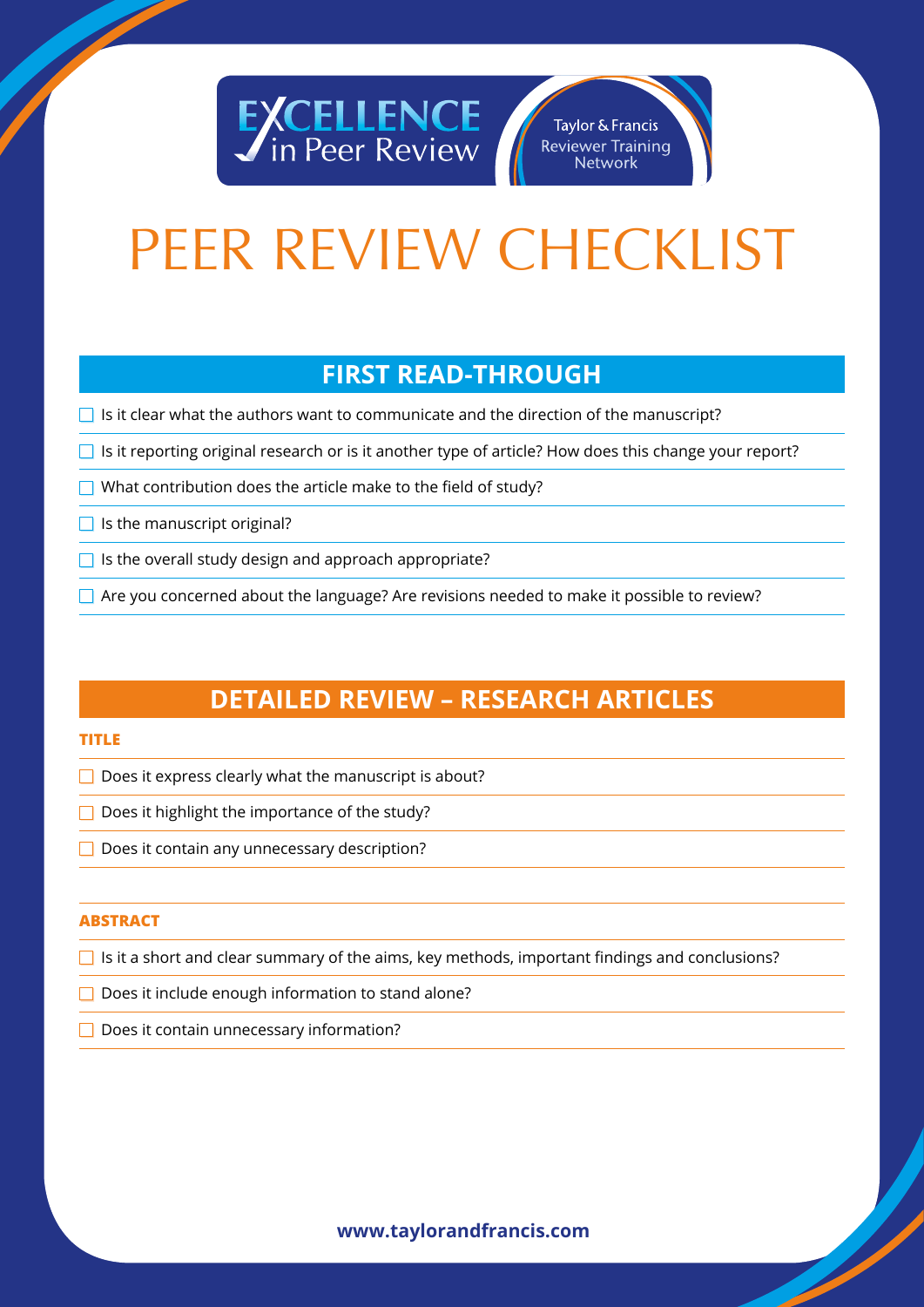

#### Taylor & Francis **Reviewer Training Network**

# PEER REVIEW CHECKLIST

### **FIRST READ-THROUGH**

 $\Box$  Is it clear what the authors want to communicate and the direction of the manuscript?

- $\Box$  Is it reporting original research or is it another type of article? How does this change your report?
- What contribution does the article make to the field of study?

 $\Box$  Is the manuscript original?

 $\Box$  Is the overall study design and approach appropriate?

 $\Box$  Are you concerned about the language? Are revisions needed to make it possible to review?

## **DETAILED REVIEW – RESEARCH ARTICLES**

#### **TITLE**

 $\Box$  Does it express clearly what the manuscript is about?

 $\Box$  Does it highlight the importance of the study?

 $\Box$  Does it contain any unnecessary description?

#### **ABSTRACT**

 $\Box$  Is it a short and clear summary of the aims, key methods, important findings and conclusions?

 $\Box$  Does it include enough information to stand alone?

 $\Box$  Does it contain unnecessary information?

#### **www.taylorandfrancis.com**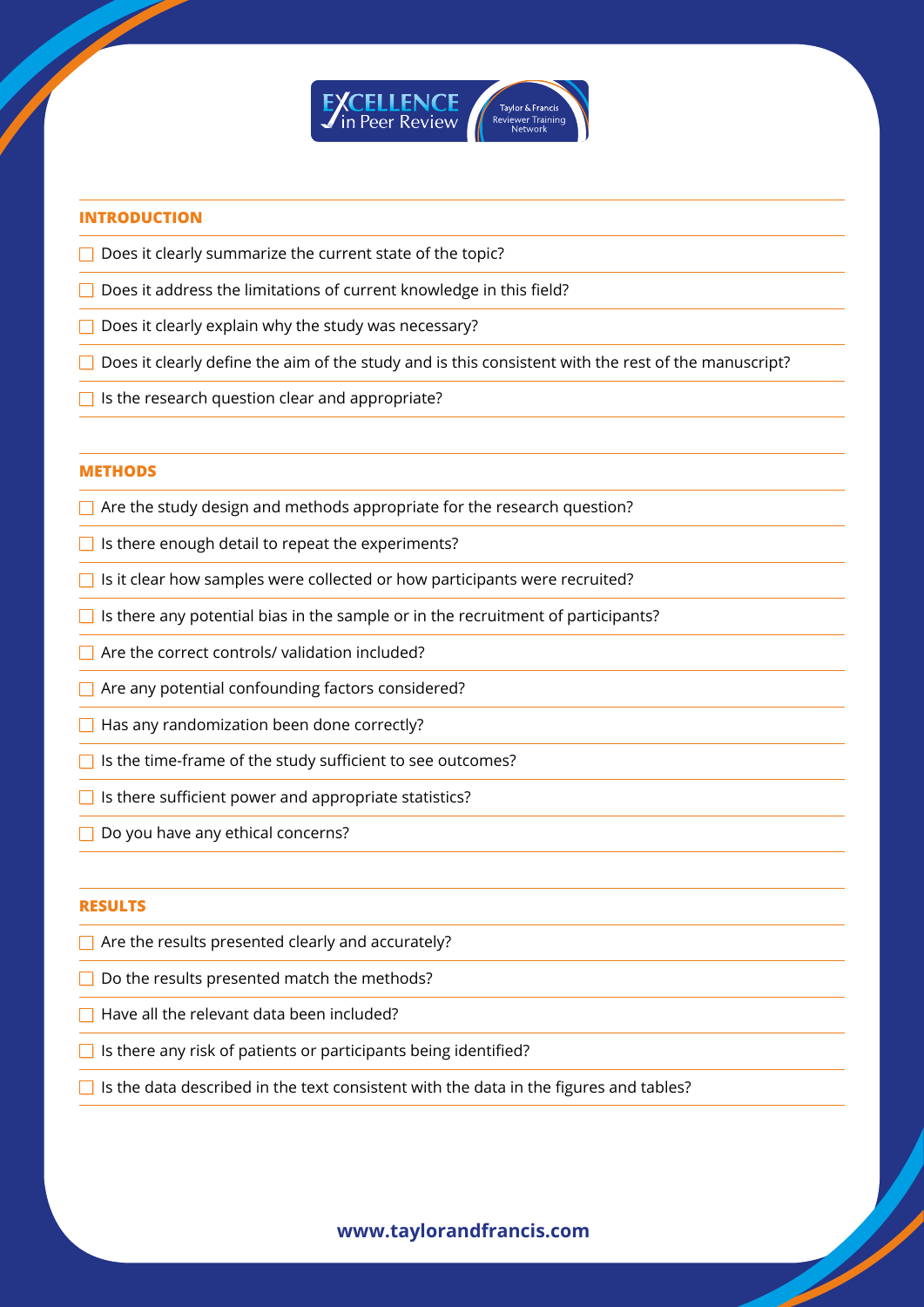

#### **INTRODUCTION**

**SARASSED** 

- $\Box$  Does it clearly summarize the current state of the topic?
- $\Box$  Does it address the limitations of current knowledge in this field?
- $\Box$  Does it clearly explain why the study was necessary?
- $\Box$  Does it clearly define the aim of the study and is this consistent with the rest of the manuscript?
- $\Box$  Is the research question clear and appropriate?

#### **METHODS**

- $\Box$  Are the study design and methods appropriate for the research question?
- $\Box$  Is there enough detail to repeat the experiments?
- $\Box$  Is it clear how samples were collected or how participants were recruited?
- $\Box$  Is there any potential bias in the sample or in the recruitment of participants?
- $\Box$  Are the correct controls/ validation included?
- $\Box$  Are any potential confounding factors considered?
- $\Box$  Has any randomization been done correctly?
- $\Box$  Is the time-frame of the study sufficient to see outcomes?
- $\Box$  Is there sufficient power and appropriate statistics?
- $\Box$  Do you have any ethical concerns?

#### **RESULTS**

- $\Box$  Are the results presented clearly and accurately?
- $\Box$  Do the results presented match the methods?
- $\Box$  Have all the relevant data been included?
- $\Box$  Is there any risk of patients or participants being identified?
- $\Box$  Is the data described in the text consistent with the data in the figures and tables?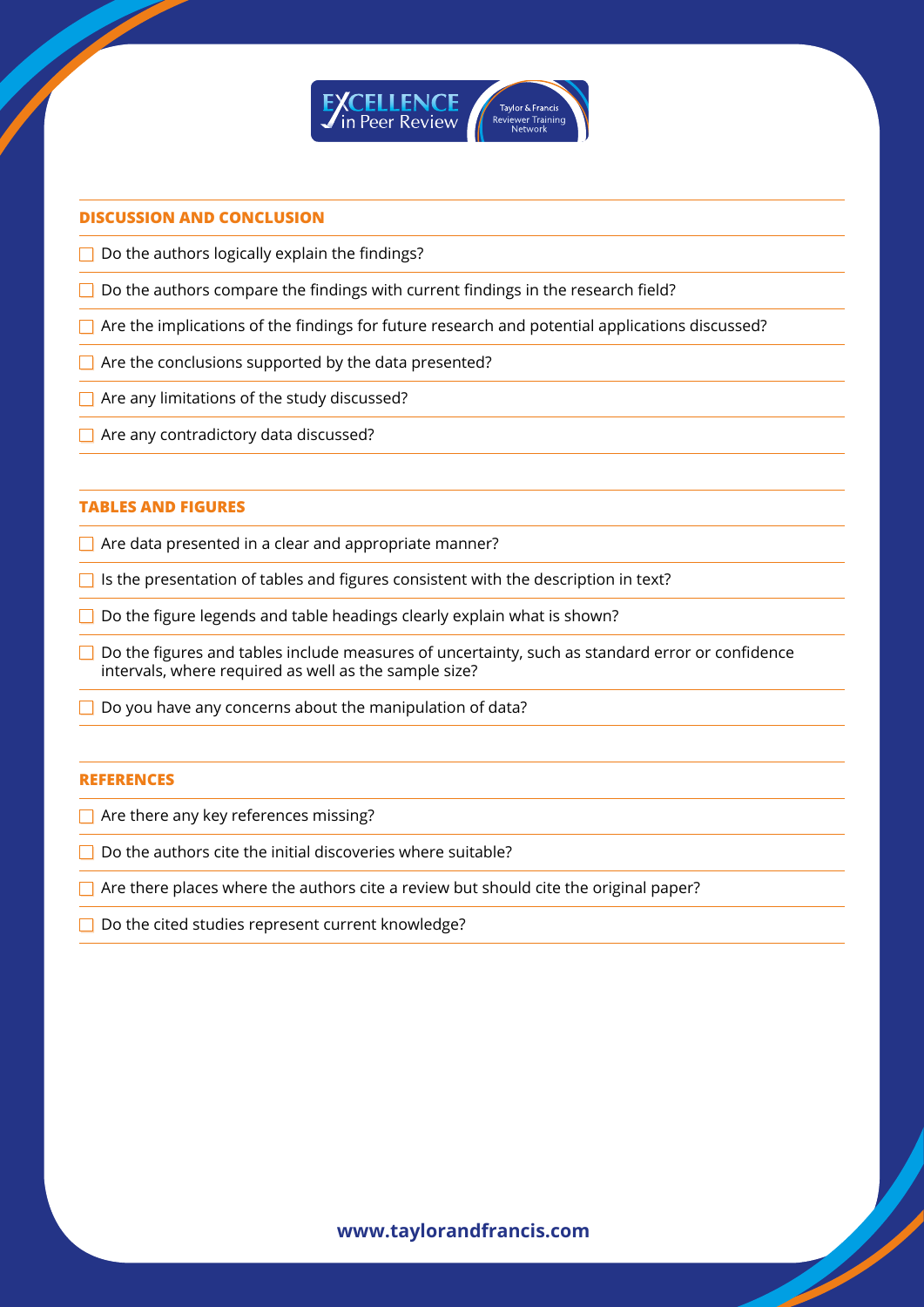

#### **DISCUSSION AND CONCLUSION**

**SARASSED** 

 $\Box$  Do the authors logically explain the findings?

- $\Box$  Do the authors compare the findings with current findings in the research field?
- $\Box$  Are the implications of the findings for future research and potential applications discussed?
- $\Box$  Are the conclusions supported by the data presented?
- $\Box$  Are any limitations of the study discussed?
- Are any contradictory data discussed?

#### **TABLES AND FIGURES**

 $\Box$  Are data presented in a clear and appropriate manner?

- $\Box$  Is the presentation of tables and figures consistent with the description in text?
- $\Box$  Do the figure legends and table headings clearly explain what is shown?
- $\Box$  Do the figures and tables include measures of uncertainty, such as standard error or confidence intervals, where required as well as the sample size?
- $\Box$  Do you have any concerns about the manipulation of data?

#### **REFERENCES**

 $\Box$  Are there any key references missing?

- $\Box$  Do the authors cite the initial discoveries where suitable?
- $\Box$  Are there places where the authors cite a review but should cite the original paper?
- □ Do the cited studies represent current knowledge?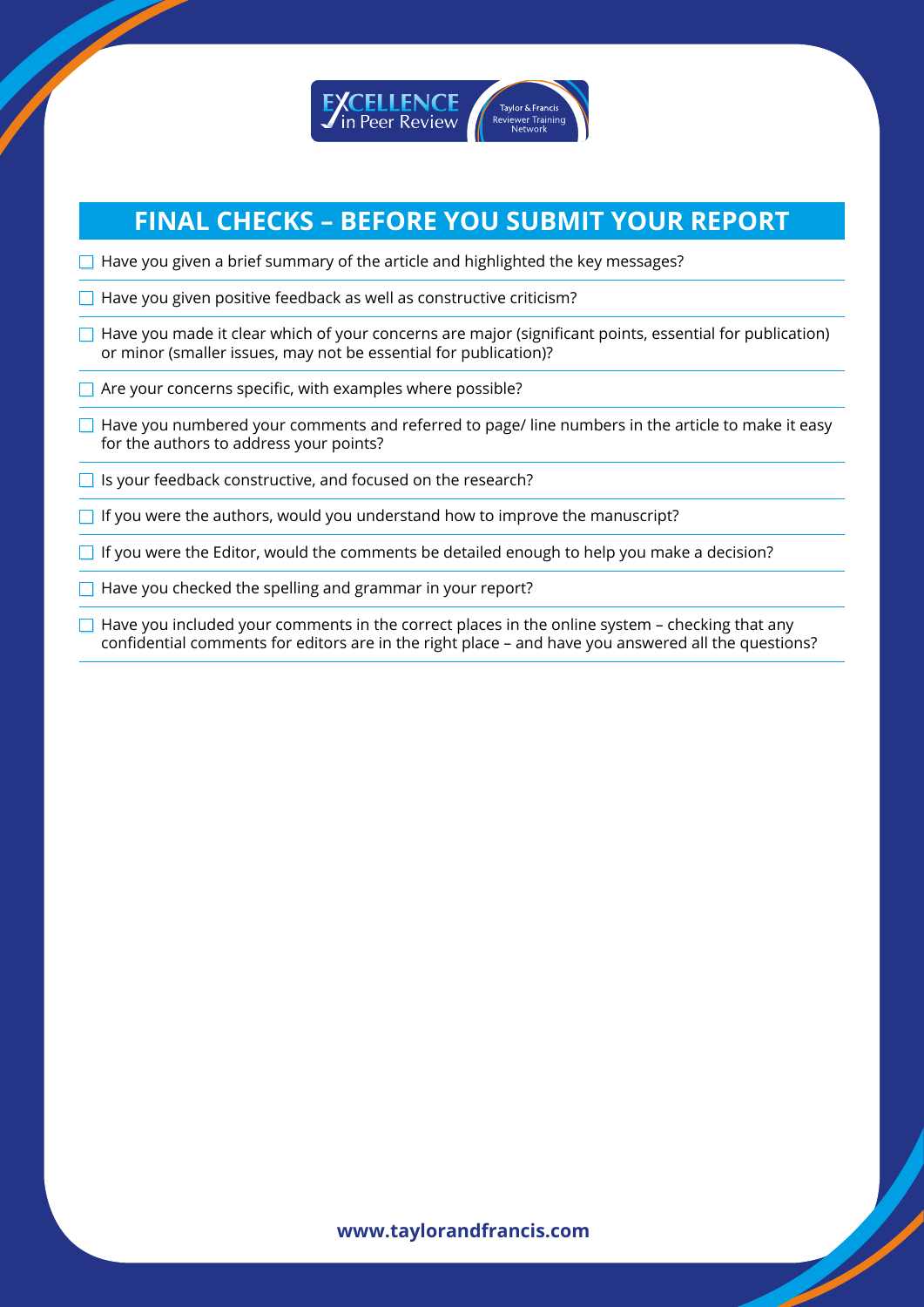

## **FINAL CHECKS – BEFORE YOU SUBMIT YOUR REPORT**

- $\Box$  Have you given a brief summary of the article and highlighted the key messages?
- $\Box$  Have you given positive feedback as well as constructive criticism?
- $\Box$  Have you made it clear which of your concerns are major (significant points, essential for publication) or minor (smaller issues, may not be essential for publication)?
- $\Box$  Are your concerns specific, with examples where possible?
- $\Box$  Have you numbered your comments and referred to page/ line numbers in the article to make it easy for the authors to address your points?
- $\Box$  Is your feedback constructive, and focused on the research?
- $\Box$  If you were the authors, would you understand how to improve the manuscript?
- $\Box$  If you were the Editor, would the comments be detailed enough to help you make a decision?
- $\Box$  Have you checked the spelling and grammar in your report?

 $\Box$  Have you included your comments in the correct places in the online system – checking that any confidential comments for editors are in the right place – and have you answered all the questions?

#### **www.taylorandfrancis.com**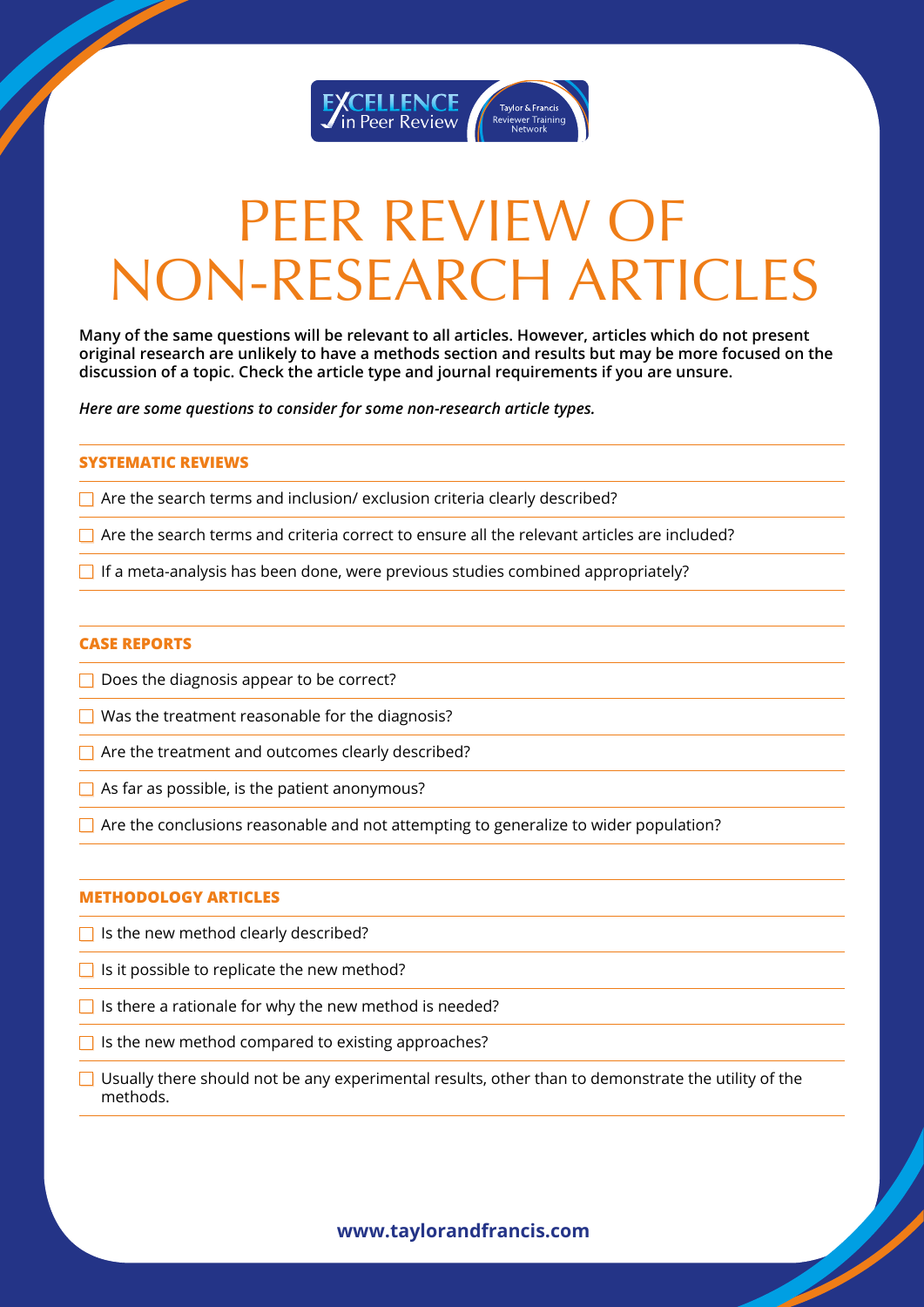

## PEER REVIEW OF NON-RESEARCH ARTICLES

**Many of the same questions will be relevant to all articles. However, articles which do not present original research are unlikely to have a methods section and results but may be more focused on the discussion of a topic. Check the article type and journal requirements if you are unsure.**

*Here are some questions to consider for some non-research article types.*

#### **SYSTEMATIC REVIEWS**

 $\Box$  Are the search terms and inclusion/ exclusion criteria clearly described?

 $\Box$  Are the search terms and criteria correct to ensure all the relevant articles are included?

 $\Box$  If a meta-analysis has been done, were previous studies combined appropriately?

#### **CASE REPORTS**

 $\Box$  Does the diagnosis appear to be correct?

 $\Box$  Was the treatment reasonable for the diagnosis?

 $\Box$  Are the treatment and outcomes clearly described?

 $\Box$  As far as possible, is the patient anonymous?

 $\Box$  Are the conclusions reasonable and not attempting to generalize to wider population?

#### **METHODOLOGY ARTICLES**

- $\Box$  Is the new method clearly described?
- $\Box$  Is it possible to replicate the new method?

 $\Box$  Is there a rationale for why the new method is needed?

 $\Box$  Is the new method compared to existing approaches?

 $\Box$  Usually there should not be any experimental results, other than to demonstrate the utility of the methods.